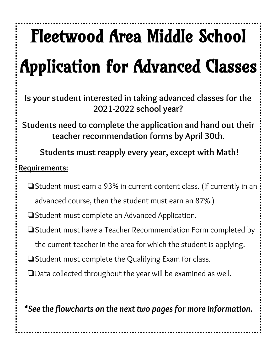# Fleetwood Area Middle School Application for Advanced Classes

**Is your student interested in taking advanced classes for the 2021-2022 school year?**

**Students need to complete the application and hand out their teacher recommendation forms by April 30th.**

**Students must reapply every year, except with Math!**

# **Requirements:**

❏Student must earn a 93% in current content class. (If currently in an advanced course, then the student must earn an 87%.)

❏Student must complete an Advanced Application.

- ❏Student must have a Teacher Recommendation Form completed by the current teacher in the area for which the student is applying.
- ❏Student must complete the Qualifying Exam for class.
- ❏Data collected throughout the year will be examined as well.

*\*See the flowcharts on the next two pagesfor more information.*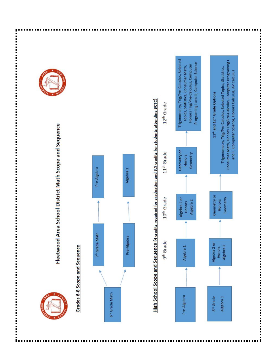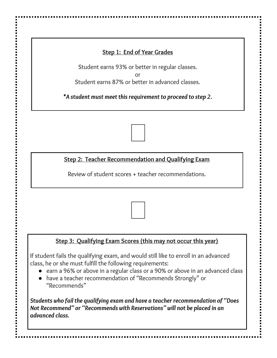# **Step 1: End of Year Grades**

Student earns 93% or better in regular classes. or Student earns 87% or better in advanced classes.

*\*A student must meet thisrequirement to proceed to step 2.*

**Step 2: Teacher Recommendation and Qualifying Exam**

Review of student scores + teacher recommendations.

# **Step 3: Qualifying Exam Scores (this may not occur this year)**

If student fails the qualifying exam, and would still like to enroll in an advanced class, he or she must fulfill the following requirements:

- earn a 96% or above in a regular class or a 90% or above in an advanced class
- have a teacher recommendation of "Recommends Strongly" or "Recommends"

*Students who fail the qualifying exam and have a teacher recommendation of "Does Not Recommend" or "Recommends with Reservations" will not be placed in an advanced class.*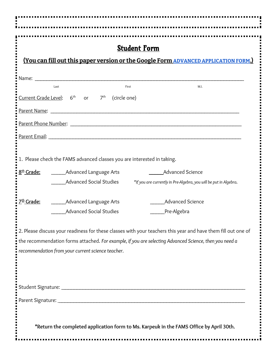| <b>Student Form</b>                                                                                                                                                                                                            |
|--------------------------------------------------------------------------------------------------------------------------------------------------------------------------------------------------------------------------------|
| (You can fill out this paper version or the Google Form ADVANCED APPLICATION FORM.)                                                                                                                                            |
|                                                                                                                                                                                                                                |
| M.I.<br>Last<br>First                                                                                                                                                                                                          |
| Current Grade Level: $6th$ or $7th$<br>(circle one)                                                                                                                                                                            |
| Parent Name: Name and the contract of the contract of the contract of the contract of the contract of the contract of the contract of the contract of the contract of the contract of the contract of the contract of the cont |
| Parent Phone Number: 2008 - 2008 - 2008 - 2019 - 2019 - 2019 - 2019 - 2019 - 2019 - 2019 - 2019 - 2019 - 2019                                                                                                                  |
|                                                                                                                                                                                                                                |
| 1. Please check the FAMS advanced classes you are interested in taking.                                                                                                                                                        |
| 8 <sup>th</sup> Grade:<br><b>Advanced Science</b><br>_________Advanced Language Arts                                                                                                                                           |
| <b>Advanced Social Studies</b><br>*If you are currently in Pre-Algebra, you will be put in Algebra.                                                                                                                            |
| <b>Advanced Science</b><br>$7th$ Grade:<br>_________Advanced Language Arts                                                                                                                                                     |
| <b>Advanced Social Studies</b><br>Pre-Algebra                                                                                                                                                                                  |
|                                                                                                                                                                                                                                |
| 2. Please discuss your readiness for these classes with your teachers this year and have them fill out one of<br>the recommendation forms attached. For example, if you are selecting Advanced Science, then you need a        |
| recommendation from your current science teacher.                                                                                                                                                                              |
|                                                                                                                                                                                                                                |
|                                                                                                                                                                                                                                |
|                                                                                                                                                                                                                                |
|                                                                                                                                                                                                                                |
|                                                                                                                                                                                                                                |
| *Return the completed application form to Ms. Karpeuk in the FAMS Office by April 30th.                                                                                                                                        |
|                                                                                                                                                                                                                                |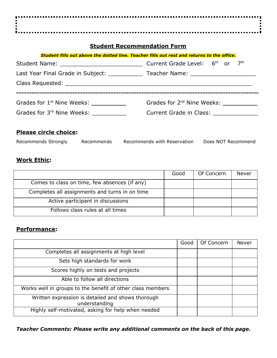#### **Student Recommendation Form**

| Student fills out above the dotted line. Teacher fills out rest and returns to the office. |                                                     |  |  |  |
|--------------------------------------------------------------------------------------------|-----------------------------------------------------|--|--|--|
|                                                                                            |                                                     |  |  |  |
| Last Year Final Grade in Subject: The Teacher Name: Teacher Name:                          |                                                     |  |  |  |
|                                                                                            |                                                     |  |  |  |
|                                                                                            |                                                     |  |  |  |
| Grades for 1 <sup>st</sup> Nine Weeks:                                                     | Grades for 2 <sup>nd</sup> Nine Weeks: ____________ |  |  |  |
| Grades for 3 <sup>rd</sup> Nine Weeks:                                                     | Current Grade in Class: Current Grade in Class:     |  |  |  |
|                                                                                            |                                                     |  |  |  |

#### **Please circle choice:**

| Recommends Strongly | Recommends | Recommends with Reservation | Does NOT Recommend |
|---------------------|------------|-----------------------------|--------------------|
|                     |            |                             |                    |

# **Work Ethic:**

|                                                | Good | Of Concern | Never |
|------------------------------------------------|------|------------|-------|
| Comes to class on time, few absences (if any)  |      |            |       |
| Completes all assignments and turns in on time |      |            |       |
| Active participant in discussions              |      |            |       |
| Follows class rules at all times               |      |            |       |

#### **Performance:**

|                                                                    | Good | Of Concern | <b>Never</b> |
|--------------------------------------------------------------------|------|------------|--------------|
| Completes all assignments at high level                            |      |            |              |
| Sets high standards for work                                       |      |            |              |
| Scores highly on tests and projects                                |      |            |              |
| Able to follow all directions                                      |      |            |              |
| Works well in groups to the benefit of other class members         |      |            |              |
| Written expression is detailed and shows thorough<br>understanding |      |            |              |
| Highly self-motivated, asking for help when needed                 |      |            |              |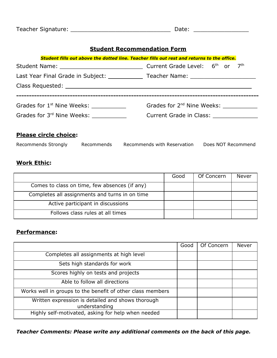| Teacher Signature:<br>. <del>.</del> . <u>.</u><br>________ |  |  |
|-------------------------------------------------------------|--|--|
|-------------------------------------------------------------|--|--|

#### **Student Recommendation Form**

| Student fills out above the dotted line. Teacher fills out rest and returns to the office.      |                                                                                                                       |  |  |  |
|-------------------------------------------------------------------------------------------------|-----------------------------------------------------------------------------------------------------------------------|--|--|--|
|                                                                                                 |                                                                                                                       |  |  |  |
| Last Year Final Grade in Subject: _______________ Teacher Name: ________________                |                                                                                                                       |  |  |  |
|                                                                                                 |                                                                                                                       |  |  |  |
| Grades for 1 <sup>st</sup> Nine Weeks: ______________<br>Grades for 3 <sup>rd</sup> Nine Weeks: | ____________________________________<br>Grades for 2 <sup>nd</sup> Nine Weeks: ___________<br>Current Grade in Class: |  |  |  |

# **Please circle choice:**

| Does NOT Recommend<br>Recommends with Reservation<br>Recommends Strongly<br>Recommends |  |
|----------------------------------------------------------------------------------------|--|
|----------------------------------------------------------------------------------------|--|

# **Work Ethic:**

|                                                | Good | Of Concern | Never |
|------------------------------------------------|------|------------|-------|
| Comes to class on time, few absences (if any)  |      |            |       |
| Completes all assignments and turns in on time |      |            |       |
| Active participant in discussions              |      |            |       |
| Follows class rules at all times               |      |            |       |

#### **Performance:**

|                                                                    | Good | Of Concern | <b>Never</b> |
|--------------------------------------------------------------------|------|------------|--------------|
| Completes all assignments at high level                            |      |            |              |
| Sets high standards for work                                       |      |            |              |
| Scores highly on tests and projects                                |      |            |              |
| Able to follow all directions                                      |      |            |              |
| Works well in groups to the benefit of other class members         |      |            |              |
| Written expression is detailed and shows thorough<br>understanding |      |            |              |
| Highly self-motivated, asking for help when needed                 |      |            |              |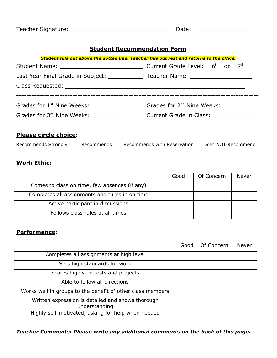#### **Student Recommendation Form**

| Student fills out above the dotted line. Teacher fills out rest and returns to the office. |                                                     |  |  |  |
|--------------------------------------------------------------------------------------------|-----------------------------------------------------|--|--|--|
|                                                                                            |                                                     |  |  |  |
| Last Year Final Grade in Subject: The Teacher Name: Teacher Name:                          |                                                     |  |  |  |
|                                                                                            |                                                     |  |  |  |
|                                                                                            |                                                     |  |  |  |
| Grades for 1 <sup>st</sup> Nine Weeks:                                                     | Grades for 2 <sup>nd</sup> Nine Weeks: ____________ |  |  |  |
| Grades for 3rd Nine Weeks:                                                                 | Current Grade in Class: Current Grade in Class:     |  |  |  |
|                                                                                            |                                                     |  |  |  |

# **Please circle choice:**

| Recommends Strongly | Recommends Recommends with Reservation |  | Does NOT Recommend |
|---------------------|----------------------------------------|--|--------------------|
|---------------------|----------------------------------------|--|--------------------|

# **Work Ethic:**

|                                                | Good | Of Concern | Never |
|------------------------------------------------|------|------------|-------|
| Comes to class on time, few absences (if any)  |      |            |       |
| Completes all assignments and turns in on time |      |            |       |
| Active participant in discussions              |      |            |       |
| Follows class rules at all times               |      |            |       |

#### **Performance:**

|                                                                    | Good | Of Concern | <b>Never</b> |
|--------------------------------------------------------------------|------|------------|--------------|
| Completes all assignments at high level                            |      |            |              |
| Sets high standards for work                                       |      |            |              |
| Scores highly on tests and projects                                |      |            |              |
| Able to follow all directions                                      |      |            |              |
| Works well in groups to the benefit of other class members         |      |            |              |
| Written expression is detailed and shows thorough<br>understanding |      |            |              |
| Highly self-motivated, asking for help when needed                 |      |            |              |